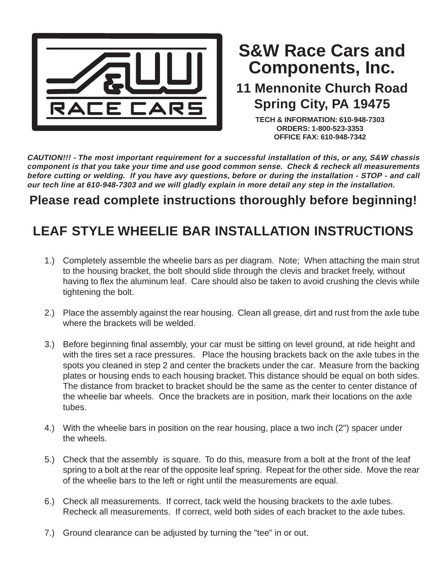

## **Components, Inc. S&W Race Cars and**

## **11 Mennonite Church Road Spring City, PA 19475**

**TECH & INFORMATION: 610-948-7303 ORDERS: 1-800-523-3353 OFFICE FAX: 610-948-7342**

**CAUTION!!! - The most important requirement for a successful installation of this, or any, S&W chassis component is that you take your time and use good common sense. Check & recheck all measurements before cutting or welding. If you have avy questions, before or during the installation - STOP - and call our tech line at 610-948-7303 and we will gladly explain in more detail any step in the installation.**

## **Please read complete instructions thoroughly before beginning!**

## **LEAF STYLE WHEELIE BAR INSTALLATION INSTRUCTIONS**

- 1.) Completely assemble the wheelie bars as per diagram. Note; When attaching the main strut to the housing bracket, the bolt should slide through the clevis and bracket freely, without having to flex the aluminum leaf. Care should also be taken to avoid crushing the clevis while tightening the bolt.
- 2.) Place the assembly against the rear housing. Clean all grease, dirt and rust from the axle tube where the brackets will be welded.
- 3.) Before beginning final assembly, your car must be sitting on level ground, at ride height and with the tires set a race pressures. Place the housing brackets back on the axle tubes in the spots you cleaned in step 2 and center the brackets under the car. Measure from the backing plates or housing ends to each housing bracket. This distance should be equal on both sides. The distance from bracket to bracket should be the same as the center to center distance of the wheelie bar wheels. Once the brackets are in position, mark their locations on the axle tubes.
- 4.) With the wheelie bars in position on the rear housing, place a two inch (2") spacer under the wheels.
- 5.) Check that the assembly is square. To do this, measure from a bolt at the front of the leaf spring to a bolt at the rear of the opposite leaf spring. Repeat for the other side. Move the rear of the wheelie bars to the left or right until the measurements are equal.
- 6.) Check all measurements. If correct, tack weld the housing brackets to the axle tubes. Recheck all measurements. If correct, weld both sides of each bracket to the axle tubes.
- 7.) Ground clearance can be adjusted by turning the "tee" in or out.